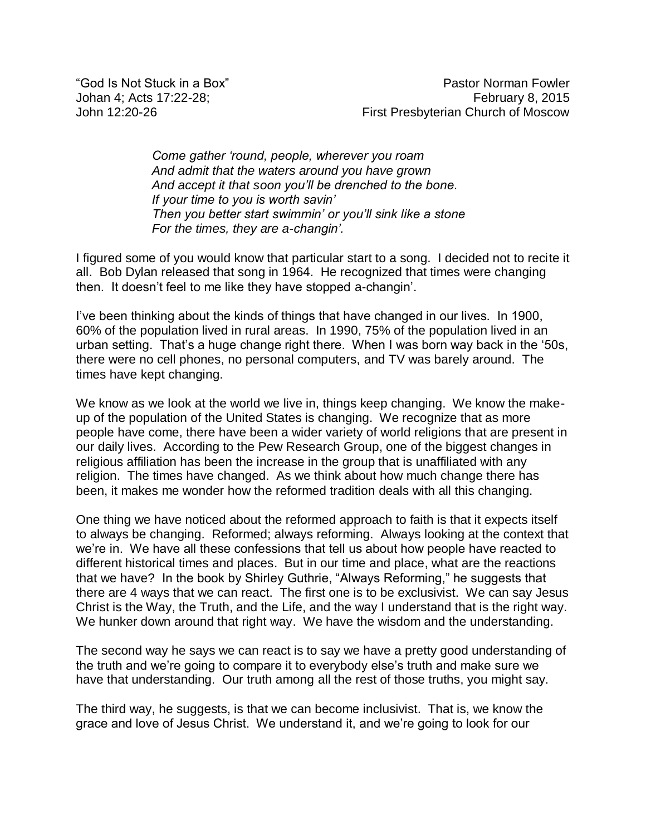*Come gather 'round, people, wherever you roam And admit that the waters around you have grown And accept it that soon you'll be drenched to the bone. If your time to you is worth savin' Then you better start swimmin' or you'll sink like a stone For the times, they are a-changin'.*

I figured some of you would know that particular start to a song. I decided not to recite it all. Bob Dylan released that song in 1964. He recognized that times were changing then. It doesn't feel to me like they have stopped a-changin'.

I've been thinking about the kinds of things that have changed in our lives. In 1900, 60% of the population lived in rural areas. In 1990, 75% of the population lived in an urban setting. That's a huge change right there. When I was born way back in the '50s, there were no cell phones, no personal computers, and TV was barely around. The times have kept changing.

We know as we look at the world we live in, things keep changing. We know the makeup of the population of the United States is changing. We recognize that as more people have come, there have been a wider variety of world religions that are present in our daily lives. According to the Pew Research Group, one of the biggest changes in religious affiliation has been the increase in the group that is unaffiliated with any religion. The times have changed. As we think about how much change there has been, it makes me wonder how the reformed tradition deals with all this changing.

One thing we have noticed about the reformed approach to faith is that it expects itself to always be changing. Reformed; always reforming. Always looking at the context that we're in. We have all these confessions that tell us about how people have reacted to different historical times and places. But in our time and place, what are the reactions that we have? In the book by Shirley Guthrie, "Always Reforming," he suggests that there are 4 ways that we can react. The first one is to be exclusivist. We can say Jesus Christ is the Way, the Truth, and the Life, and the way I understand that is the right way. We hunker down around that right way. We have the wisdom and the understanding.

The second way he says we can react is to say we have a pretty good understanding of the truth and we're going to compare it to everybody else's truth and make sure we have that understanding. Our truth among all the rest of those truths, you might say.

The third way, he suggests, is that we can become inclusivist. That is, we know the grace and love of Jesus Christ. We understand it, and we're going to look for our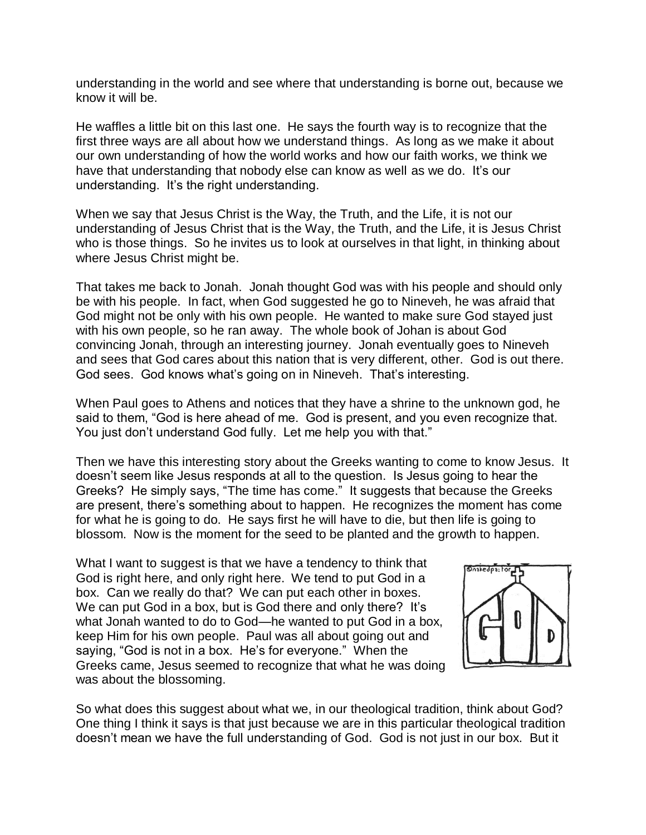understanding in the world and see where that understanding is borne out, because we know it will be.

He waffles a little bit on this last one. He says the fourth way is to recognize that the first three ways are all about how we understand things. As long as we make it about our own understanding of how the world works and how our faith works, we think we have that understanding that nobody else can know as well as we do. It's our understanding. It's the right understanding.

When we say that Jesus Christ is the Way, the Truth, and the Life, it is not our understanding of Jesus Christ that is the Way, the Truth, and the Life, it is Jesus Christ who is those things. So he invites us to look at ourselves in that light, in thinking about where Jesus Christ might be.

That takes me back to Jonah. Jonah thought God was with his people and should only be with his people. In fact, when God suggested he go to Nineveh, he was afraid that God might not be only with his own people. He wanted to make sure God stayed just with his own people, so he ran away. The whole book of Johan is about God convincing Jonah, through an interesting journey. Jonah eventually goes to Nineveh and sees that God cares about this nation that is very different, other. God is out there. God sees. God knows what's going on in Nineveh. That's interesting.

When Paul goes to Athens and notices that they have a shrine to the unknown god, he said to them, "God is here ahead of me. God is present, and you even recognize that. You just don't understand God fully. Let me help you with that."

Then we have this interesting story about the Greeks wanting to come to know Jesus. It doesn't seem like Jesus responds at all to the question. Is Jesus going to hear the Greeks? He simply says, "The time has come." It suggests that because the Greeks are present, there's something about to happen. He recognizes the moment has come for what he is going to do. He says first he will have to die, but then life is going to blossom. Now is the moment for the seed to be planted and the growth to happen.

What I want to suggest is that we have a tendency to think that God is right here, and only right here. We tend to put God in a box. Can we really do that? We can put each other in boxes. We can put God in a box, but is God there and only there? It's what Jonah wanted to do to God—he wanted to put God in a box, keep Him for his own people. Paul was all about going out and saying, "God is not in a box. He's for everyone." When the Greeks came, Jesus seemed to recognize that what he was doing was about the blossoming.



So what does this suggest about what we, in our theological tradition, think about God? One thing I think it says is that just because we are in this particular theological tradition doesn't mean we have the full understanding of God. God is not just in our box. But it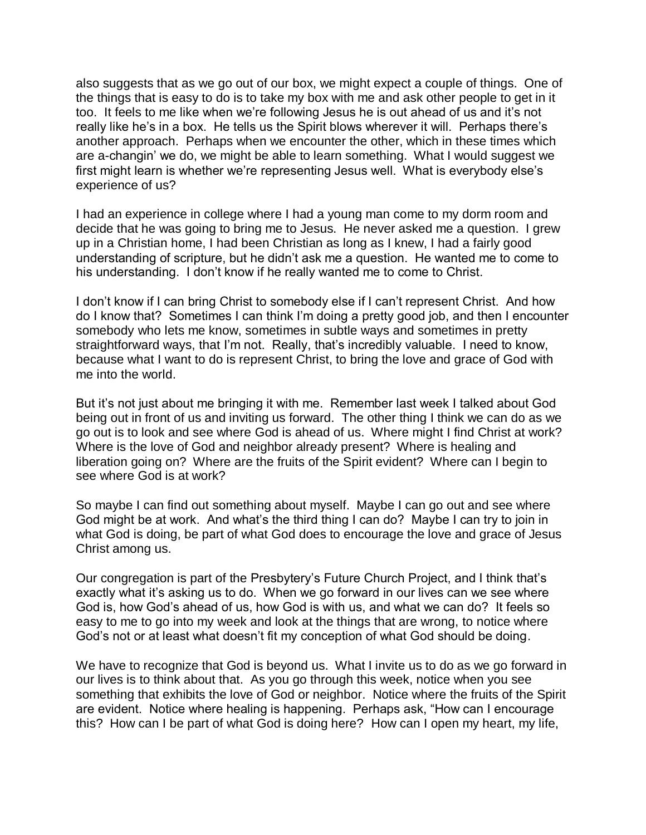also suggests that as we go out of our box, we might expect a couple of things. One of the things that is easy to do is to take my box with me and ask other people to get in it too. It feels to me like when we're following Jesus he is out ahead of us and it's not really like he's in a box. He tells us the Spirit blows wherever it will. Perhaps there's another approach. Perhaps when we encounter the other, which in these times which are a-changin' we do, we might be able to learn something. What I would suggest we first might learn is whether we're representing Jesus well. What is everybody else's experience of us?

I had an experience in college where I had a young man come to my dorm room and decide that he was going to bring me to Jesus. He never asked me a question. I grew up in a Christian home, I had been Christian as long as I knew, I had a fairly good understanding of scripture, but he didn't ask me a question. He wanted me to come to his understanding. I don't know if he really wanted me to come to Christ.

I don't know if I can bring Christ to somebody else if I can't represent Christ. And how do I know that? Sometimes I can think I'm doing a pretty good job, and then I encounter somebody who lets me know, sometimes in subtle ways and sometimes in pretty straightforward ways, that I'm not. Really, that's incredibly valuable. I need to know, because what I want to do is represent Christ, to bring the love and grace of God with me into the world.

But it's not just about me bringing it with me. Remember last week I talked about God being out in front of us and inviting us forward. The other thing I think we can do as we go out is to look and see where God is ahead of us. Where might I find Christ at work? Where is the love of God and neighbor already present? Where is healing and liberation going on? Where are the fruits of the Spirit evident? Where can I begin to see where God is at work?

So maybe I can find out something about myself. Maybe I can go out and see where God might be at work. And what's the third thing I can do? Maybe I can try to join in what God is doing, be part of what God does to encourage the love and grace of Jesus Christ among us.

Our congregation is part of the Presbytery's Future Church Project, and I think that's exactly what it's asking us to do. When we go forward in our lives can we see where God is, how God's ahead of us, how God is with us, and what we can do? It feels so easy to me to go into my week and look at the things that are wrong, to notice where God's not or at least what doesn't fit my conception of what God should be doing.

We have to recognize that God is beyond us. What I invite us to do as we go forward in our lives is to think about that. As you go through this week, notice when you see something that exhibits the love of God or neighbor. Notice where the fruits of the Spirit are evident. Notice where healing is happening. Perhaps ask, "How can I encourage this? How can I be part of what God is doing here? How can I open my heart, my life,